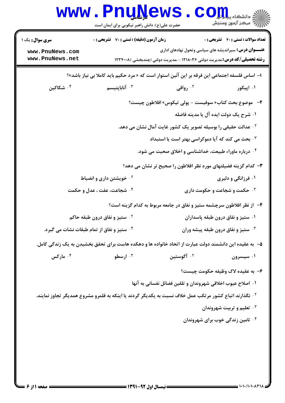| <b>سری سوال :</b> یک ۱                     | <b>زمان آزمون (دقیقه) : تستی : 70 قشریحی : 0</b> |                                                                                                                   | <b>تعداد سوالات : تستی : 40 قشریحی : 0</b>     |
|--------------------------------------------|--------------------------------------------------|-------------------------------------------------------------------------------------------------------------------|------------------------------------------------|
| www.PnuNews.com                            |                                                  | <b>عنـــوان درس:</b> سیراندیشه های سیاسی وتحول نهادهای اداری                                                      |                                                |
| www.PnuNews.net                            |                                                  | <b>رشته تحصیلی/کد درس:</b> مدیریت دولتی ۱۲۱۸۰۳۶ - ،مدیریت دولتی (چندبخشی )۱۲۳۴۰۰۸                                 |                                                |
|                                            |                                                  | ا– اساس فلسفه اجتماعی این فرقه بر این آئین استوار است که « مرد حکیم باید کاملا بی نیاز باشد»؟                     |                                                |
| ۰۴ شکاکین                                  | ۰۳ آناباپتیسم                                    | ۰۲ رواقی                                                                                                          | ۰۱ اپيکور                                      |
|                                            |                                                  | ۲- موضوع بحث کتاب« سوفیست - پولی تیکوس» افلاطون چیست؟                                                             |                                                |
|                                            |                                                  |                                                                                                                   | ۰۱ شرح یک دولت ایده آل یا مدینه فاضله          |
|                                            |                                                  | <sup>۲ .</sup> عدالت حقیقی را بوسیله تصویر یک کشور غایت آمال نشان می دهد.                                         |                                                |
|                                            |                                                  | ۰۳ بحث می کند که آیا دموکراسی بهتر است یا استبداد                                                                 |                                                |
|                                            |                                                  | ۰۴ درباره ماوراء طبیعت، خداشناسی و اخلاق صحبت می شود.                                                             |                                                |
|                                            |                                                  | ۳- کدام گزینه فضیلتهای مورد نظر افلاطون را صحیح تر نشان می دهد؟                                                   |                                                |
|                                            | <sup>۲</sup> ۰ خویشتن داری و انضباط              |                                                                                                                   | ۰۱ فرزانگی و دلیری                             |
|                                            | ۰۴ شجاعت، عفت ، عدل و حکمت                       |                                                                                                                   | <b>۰۳ حکمت و شجاعت و حکومت داری</b>            |
|                                            |                                                  | ۴– از نظر افلاطون سرچشمه ستیز و نفاق در جامعه مربوط به کدام گزینه است؟                                            |                                                |
|                                            | <sup>۲</sup> ۰ ستیز و نفاق درون طبقه حاکم        |                                                                                                                   | ۰۱ ستیز و نفاق درون طبقه پاسداران              |
| ۰۴ ستیز و نفاق از تمام طبقات نشات می گیرد. |                                                  |                                                                                                                   | ۰ <sup>۳</sup> ستیز و نفاق درون طبقه پیشه وران |
|                                            |                                                  | ۵– به عقیده این دانشمند دولت عبارت از اتحاد خانواده ها و دهکده هاست برای تحقق بخشیدن به یک زندگی کامل.            |                                                |
| ۰ <sup>۴</sup> مارکس                       | ۰ <sup>۳</sup> ارسطو                             | ۰ <sup>۲</sup> آگوستین                                                                                            | ۰۱ سیسرون                                      |
|                                            |                                                  |                                                                                                                   | ۶- به عقیده لاک وظیفه حکومت چیست؟              |
|                                            |                                                  | ۰۱ اصلاح عیوب اخلاقی شهروندان و تلقین فضائل نفسانی به آنها                                                        |                                                |
|                                            |                                                  | <sup>۲.</sup> نگذارند اتباع کشور مرتکب عمل خلاف نسبت به یکدیگر گردند یا اینکه به قلمرو مشروع همدیگر تجاوز نمایند. |                                                |
|                                            |                                                  |                                                                                                                   | ۰۳ تعلیم و تربیت شهروندان                      |
|                                            |                                                  |                                                                                                                   | ۰ <sup>۴</sup> تامین زندگی خوب برای شهروندان   |
|                                            |                                                  |                                                                                                                   |                                                |
|                                            |                                                  |                                                                                                                   |                                                |
|                                            |                                                  |                                                                                                                   |                                                |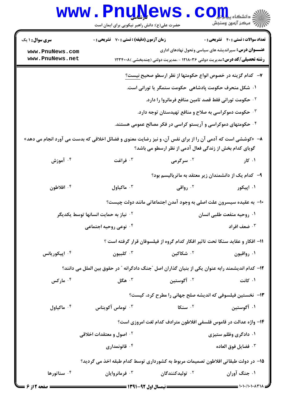## **www.PnuNews.com** حضرت علی(ع): دانش راهبر نیکویی برای ایمان است **تعداد سوالات : تستی : 40 - تشریحی : 0 سری سوال :** ۱ یک **زمان آزمون (دقیقه) : تستی : 70 ٪ تشریحی : 0 عنـــوان درس:** سیراندیشه های سیاسی وتحول نهادهای اداری www.PnuNews.com www.PnuNews.net **رشته تحصیلی/کد درس: م**دیریت دولتی ۱۲۱۸۰۳۶ - ،مدیریت دولتی (چندبخشی )۱۲۳۴۰۰۸ ٧-- كدام گزينه در خصوص انواع حكومتها از نظر ارسطو صحيح نيست؟ ١. شكل منحرف حكومت يادشاهي حكومت ستمگر يا توراني است. <sup>٢</sup>· حكومت توراني فقط قصد تامين منافع فرمانروا را دارد. ۰<sup>۳</sup> حکومت دموکراسی به صلاح و منافع تهیدستان توجه دارد. ۰۴ حکومتهای دموکراسی و آریستو کراسی در فکر مصالح عمومی هستند. ۸− «کوششی است که آدمی آن را از برای نفس آن، و نیز رضایت معنوی و فضائل اخلاقی که بدست می آورد انجام می دهد» گویای کدام بخش از زندگی فعال آدمی از نظر ارسطو می باشد؟ ۰۴ آموزش ۰۲ سرگرمی ا فراغت  $\cdot$ ۰۱ کا, ۹- کدام یک از دانشمندان زیر معتقد به ماتریالیسم بود؟ ۰۴ افلاطون ۰۲ دواقعي ار ماكياول  $\cdot^7$ ۰۱ اینکور ∙ا− به عقیده سیسرون علت اصلی به وجود آمدن اجتماعاتی مانند دولت چیست؟ ٠١. روحيه منفعت طلبي انسان <sup>۲</sup>۰ نیاز به حمایت انسانها توسط یکدیگر ۰<sup>۳</sup> ضعف افراد ۰۴ نوعي روحيه اجتماعي ١١- افكار و عقايد سنكا تحت تاثير افكار كدام گروه از فيلسوفان قرار گرفته است ؟ للبيون  $\cdot$ ۰۴ ایتکوریانس ۰۲ شکاکین ۰۱ رواقیون ١٢- كدام انديشمند رابه عنوان يكي از بنيان گذاران اصل "جنگ دادگرانه " در حقوق بين الملل مي دانند؟ ۰۴ مارکس ۰<sup>۳</sup> هگا ِ ۰<sup>۲</sup> آگوستین ۰۱ کانت ۱۳- نخستین فیلسوفی که اندیشه صلح جهانی را مطرح کرد، کیست؟ ۰<sup>۳</sup> توماس آکویناس  $5 - 1$ سنكا **6. ماكياول** . <sup>۶</sup> ۰۱ آگوستین ۱۴- واژه عدالت در قاموس فلسفی افلاطون مترادف کدام لغت امروزی است؟ ۰۲ اصول و معتقدات اخلاقی ۰۱ دادگری وظلم ستیزی ا قانونمداری  $\cdot$ ۴ <sup>٣.</sup> فضايل فوق العاده ۱۵− در دولت طبقاتی افلاطون تصمیمات مربوط به کشورداری توسط کدام طبقه اخذ می گردید؟ ۰۴ سناتورها ۰۱ جنگ آوران ۰<sup>۳</sup> فرمانروایان ۰<sup>۲</sup> تولیدکنندگان

 $= 1.1.71.14471A$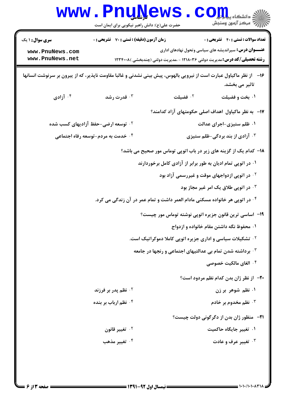|                                                                                                                | <b>www.PnuNews</b><br>حضرت علی(ع): دانش راهبر نیکویی برای ایمان است |                                                                              | دانشکاه پی <mark>ا با بار</mark><br>ب آمرڪز آزمون وسنڊش                                                                                                                                          |
|----------------------------------------------------------------------------------------------------------------|---------------------------------------------------------------------|------------------------------------------------------------------------------|--------------------------------------------------------------------------------------------------------------------------------------------------------------------------------------------------|
| <b>سری سوال : ۱ یک</b><br>www.PnuNews.com<br>www.PnuNews.net                                                   | <b>زمان آزمون (دقیقه) : تستی : 70 قشریحی : 0</b>                    |                                                                              | <b>تعداد سوالات : تستي : 40 قشريحي : 0</b><br><b>عنـــوان درس:</b> سیراندیشه های سیاسی وتحول نهادهای اداری<br><b>رشته تحصیلی/کد درس:</b> مدیریت دولتی ۱۲۱۸۰۳۶ - ،مدیریت دولتی (چندبخشی ) ۱۲۳۴۰۰۸ |
| از نظر ماکیاول عبارت است از نیرویی بالهوس، پیش بینی نشدنی و غالبا مقاومت ناپذیر، که از ییرون بر سرنوشت انسانها |                                                                     |                                                                              | $-19$<br>تاثیر می بخشد.                                                                                                                                                                          |
| ا آزادی $\cdot$ ا                                                                                              | قدرت رشد $\cdot^{\mathtt{w}}$                                       | ا فضيلت $^{\prime}$                                                          | ۰۱ بخت و فضیلت                                                                                                                                                                                   |
|                                                                                                                |                                                                     |                                                                              | ۱۷– به نظر ماکیاول اهداف اصلی حکومتهای آزاد کدامند؟                                                                                                                                              |
| ۰۲ توسعه ارضی-حفظ آزادیهای کسب شده                                                                             |                                                                     |                                                                              | ۰۱ ظلم ستیزی-اجرای عدالت                                                                                                                                                                         |
|                                                                                                                | ۰۴ خدمت به مردم-توسعه رفاه اجتماعی                                  |                                                                              | <b>۰۳ آزادی از بند بردگی-ظلم ستیزی</b>                                                                                                                                                           |
|                                                                                                                |                                                                     |                                                                              | ۱۸– کدام یک از گزینه های زیر در باب اتوپی توماس مور صحیح می باشد؟                                                                                                                                |
|                                                                                                                |                                                                     | ۰۱ در اتوپی تمام ادیان به طور برابر از آزادی کامل برخوردارند                 |                                                                                                                                                                                                  |
|                                                                                                                |                                                                     |                                                                              | <sup>۰۲</sup> در اتوپی ازدواجهای موقت و غیررسمی آزاد بود                                                                                                                                         |
|                                                                                                                |                                                                     |                                                                              | ۰ <sup>۳</sup> در اتوپی طلاق یک امر غیر مجاز بود                                                                                                                                                 |
|                                                                                                                |                                                                     | ۰۴ در اتوپی هر خانواده مسکنی مادام العمر داشت و تمام عمر در آن زندگی می کرد. |                                                                                                                                                                                                  |
|                                                                                                                |                                                                     |                                                                              | ۱۹– اساسی ترین قانون جزیره اتوپی نوشته توماس مور چیست؟                                                                                                                                           |
|                                                                                                                |                                                                     |                                                                              | ۰۱ محفوظ نگه داشتن مقام خانواده و ازدواج                                                                                                                                                         |
|                                                                                                                |                                                                     | <b>۲۰ تشکیلات سیاسی و اداری جزیره اتوپی کاملا دموکراتیک است.</b>             |                                                                                                                                                                                                  |
|                                                                                                                |                                                                     | ۰ <sup>۳</sup> برداشته شدن تمام بی عدالتیهای اجتماعی و رنجها در جامعه        |                                                                                                                                                                                                  |
|                                                                                                                |                                                                     |                                                                              | ۰۴ الغای مالکیت خصوصی                                                                                                                                                                            |
|                                                                                                                |                                                                     |                                                                              | <b>۲۰</b> - از نظر ژان بدن کدام نظم مردود است؟                                                                                                                                                   |
|                                                                                                                | ۲ · نظم پدر بر فرزند                                                |                                                                              | ۰۱ نظم شوهر برزن                                                                                                                                                                                 |
|                                                                                                                | ۰۴ نظم ارباب بر بنده                                                |                                                                              | ۰۳ نظم مخدوم بر خادم                                                                                                                                                                             |
|                                                                                                                |                                                                     |                                                                              | <b>۲۱</b> - منظور ژان بدن از دگرگونی دولت چیست؟                                                                                                                                                  |
|                                                                                                                | ۰ <sup>۲</sup> تغییر قانون                                          |                                                                              | ۰۱ تغییر جایگاه حاکمیت                                                                                                                                                                           |
|                                                                                                                | ۰۴ تغییر مذهب                                                       |                                                                              | <b>۰۳ تغییر عرف و عادت</b>                                                                                                                                                                       |
|                                                                                                                |                                                                     |                                                                              |                                                                                                                                                                                                  |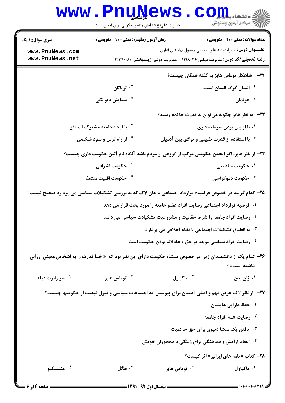|                                    | <b>www.PnuNews</b><br>حضرت علی(ع): دانش راهبر نیکویی برای ایمان است                                                    |                                                                                                                                                   | الادانشگاه پیام <mark>تو</mark> ل<br>ا <sup>رد</sup> مرکز آزمون وسنجش |
|------------------------------------|------------------------------------------------------------------------------------------------------------------------|---------------------------------------------------------------------------------------------------------------------------------------------------|-----------------------------------------------------------------------|
| <b>سری سوال : ۱ یک</b>             | <b>زمان آزمون (دقیقه) : تستی : 70 قشریحی : 0</b>                                                                       |                                                                                                                                                   | <b>تعداد سوالات : تستي : 40 ٪ تشريحي : 0</b>                          |
| www.PnuNews.com<br>www.PnuNews.net |                                                                                                                        | <b>عنـــوان درس:</b> سیراندیشه های سیاسی وتحول نهادهای اداری<br><b>رشته تحصیلی/کد درس:</b> مدیریت دولتی ۱۲۱۸۰۳۶ - ،مدیریت دولتی (چندبخشی )۱۲۳۴۰۰۸ |                                                                       |
|                                    |                                                                                                                        |                                                                                                                                                   | <b>۲۲</b> - شاهکار توماس هابز به گفته همگان چیست؟                     |
|                                    | ۰ <sup>۲</sup> لویاتان                                                                                                 |                                                                                                                                                   | ۰۱ انسان گرگ انسان است.                                               |
|                                    | ۰۴ ستایش دیوانگی                                                                                                       |                                                                                                                                                   | هوتمان $\cdot$                                                        |
|                                    |                                                                                                                        | ۲۳-۔ به نظر هابز چگونه می توان به قدرت حاکمه رسید؟                                                                                                |                                                                       |
|                                    | <sup>7</sup> · با ایجادجامعه مشترک المنافع                                                                             |                                                                                                                                                   | ۰۱ با از بین بردن سرمایه داری                                         |
|                                    | ۰۴ از راه ترس و سود شخصی                                                                                               | ۰۳ با استفاده از قدرت طبیعی و توافق بین آدمیان                                                                                                    |                                                                       |
|                                    | ۲۴– از نظر هابز، اگر انجمن حکومتی مرکب از گروهی از مردم باشد آنگاه نام آئین حکومت داری چیست؟                           |                                                                                                                                                   |                                                                       |
|                                    | ۰ <sup>۲</sup> حکومت اشرافی                                                                                            |                                                                                                                                                   | ۰۱ حکومت سلطنتی                                                       |
|                                    | ۰ <sup>۴</sup> حکومت اقلیت منتفذ                                                                                       |                                                                                                                                                   | خکومت دموکراسی $\cdot$ ۳                                              |
|                                    | <b>۲۵</b> – کدام گزینه در خصوص فرضیه« قرارداد اجتماعی » جان لاک که به بررسی تشکیلات سیاسی می پردازد صحیح نیست <u>؟</u> |                                                                                                                                                   |                                                                       |
|                                    |                                                                                                                        | ۰۱ فرضیه قرارداد اجتماعی رضایت افراد عضو جامعه را مورد بحث قرار می دهد.                                                                           |                                                                       |
|                                    |                                                                                                                        | <sup>۲.</sup> رضایت افراد جامعه را شرط حقانیت و مشروعیت تشکیلات سیاسی می داند.                                                                    |                                                                       |
|                                    |                                                                                                                        | $\cdot$ به انطباق تشکیلات اجتماعی با نظام اخلاقی می پردازد. $\cdot$                                                                               |                                                                       |
|                                    |                                                                                                                        | ۰۴ رضایت افراد سیاسی موجد بر حق و عادلانه بودن حکومت است.                                                                                         |                                                                       |
|                                    | <b>۳۶</b> – کدام یک از دانشمندان زیر  در خصوص منشاء حکومت دارای این نظر بود که  « خدا قدرت را به اشخاص معینی ارزانی    |                                                                                                                                                   | داشته است» ؟                                                          |
| ۰۴ سر رابرت فیلد                   | توماس هابز $\cdot$                                                                                                     | ۰ <sup>۲</sup> ماکیاول                                                                                                                            | ۰۱ ژان بدن                                                            |
|                                    | ۲۷–۔ از نظر لاک غرض مهم و اصلی آدمیان برای پیوستن به اجتماعات سیاسی و قبول تبعیت از حکومتها چیست؟                      |                                                                                                                                                   |                                                                       |
|                                    |                                                                                                                        |                                                                                                                                                   | ۰۱ حفظ دارایئ هایشان                                                  |
|                                    |                                                                                                                        |                                                                                                                                                   | ۰ <sup>۲</sup> رضایت همه افراد جامعه                                  |
|                                    |                                                                                                                        | ۰۳ یافتن یک منشا دنیوی برای حق حاکمیت                                                                                                             |                                                                       |
|                                    |                                                                                                                        | ۰۴ ایجاد آرامش و هماهنگی برای زنئگی با همجوران خویش                                                                                               |                                                                       |
|                                    |                                                                                                                        |                                                                                                                                                   | ۲۸- کتاب « نامه های ایرانی» اثر کیست؟                                 |
| ۰۴ منتسکیو                         | ۰۳ هگل $\cdot$                                                                                                         | ۰ <sup>۲</sup> توماس هابز                                                                                                                         | ۰۱ ماکیاول                                                            |
| = صفحه 4 از ۶ =                    | == نیمسال اول ۹۲-۱۳۹۱ ==                                                                                               |                                                                                                                                                   | === 1 . 1 . 1 . 1 . 1 . 7 . 1 .                                       |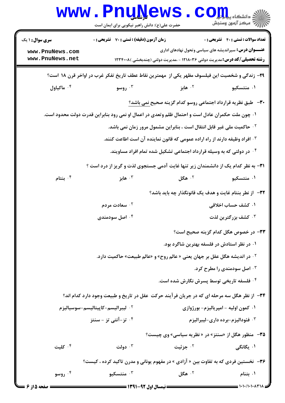|                                    | <b>WWW.PNUWEWS</b><br>حضرت علی(ع): دانش راهبر نیکویی برای ایمان است |                                                                                                                                                   | دانشکاه پ <b>یا با بال</b><br>رآب مرکز آزمون وسنجش |
|------------------------------------|---------------------------------------------------------------------|---------------------------------------------------------------------------------------------------------------------------------------------------|----------------------------------------------------|
| <b>سری سوال : ۱ یک</b>             | <b>زمان آزمون (دقیقه) : تستی : 70 گشریحی : 0</b>                    |                                                                                                                                                   | <b>تعداد سوالات : تستی : 40 قشریحی : 0</b>         |
| www.PnuNews.com<br>www.PnuNews.net |                                                                     | <b>عنـــوان درس:</b> سیراندیشه های سیاسی وتحول نهادهای اداری<br><b>رشته تحصیلی/کد درس:</b> مدیریت دولتی ۱۲۱۸۰۳۶ - ،مدیریت دولتی (چندبخشی )۱۲۳۴۰۰۸ |                                                    |
|                                    |                                                                     | ۲۹- زندگی و شخصیت این فیلسوف مظهر یکی از ًمهمترین نقاط عطف تاریخ تفکر غرب در اواخر قرن ۱۸ است؟                                                    |                                                    |
| ۰۴ ماکیاول                         | ۰۳ روسو                                                             | ۰ <sup>۲</sup> هابز                                                                                                                               | ۰۱ منتسکیو                                         |
|                                    |                                                                     | <b>۳۰</b> - طبق نظریه قرارداد اجتماعی روسو کدام گزینه صحیح <u>نمی باشد؟</u>                                                                       |                                                    |
|                                    |                                                                     | ۰۱ چون ملت حکمران عادل است و احتمال ظلم وتعدی در اعمال او نمی رود بنابراین قدرت دولت محدود است.                                                   |                                                    |
|                                    |                                                                     | <sup>7 .</sup> حاكميت ملى غير قابل انتقال است ، بنابراين مشمول مرور زمان نمى باشد.                                                                |                                                    |
|                                    |                                                                     | ۰۳ افراد وظیفه دارند از راه اراده عمومی که قانون نماینده آن است اطاعت کنند.                                                                       |                                                    |
|                                    |                                                                     | ۰۴ در دولتی که به وسیله قرارداد اجتماعی تشکیل شده تمام افراد مساویند.                                                                             |                                                    |
|                                    |                                                                     | <b>۳۱</b> - به نظر کدام یک از دانشمندان زیر تنها غایت آدمی جستجوی لذت و گریز از درد است ؟                                                         |                                                    |
| بنتام $\cdot$ ۴                    | هابز $\cdot$ ۳                                                      | ۰۲ هگل $\cdot$                                                                                                                                    | ۰۱ منتسکیو                                         |
|                                    |                                                                     | ٣٢- از نطر بنتام غايت و هدف يک قانونگذار چه بايد باشد؟                                                                                            |                                                    |
|                                    | ۰ <sup>۲</sup> سعادت مردم                                           |                                                                                                                                                   | ۰۱ کشف حساب اخلاقی                                 |
|                                    | ۰۴ اصل سودمندی                                                      |                                                                                                                                                   | كشف بزرگترين لذت $\cdot$                           |
|                                    |                                                                     |                                                                                                                                                   | ٣٣- در خصوص هگل کدام گزينه صحيح است؟               |
|                                    |                                                                     | ۰۱ در نظر استادش در فلسفه بهترین شاگرد بود.                                                                                                       |                                                    |
|                                    |                                                                     | <sup>٢.</sup> در انديشه هگل عقل بر جهان يعني « عالم روح» و «عالم طبيعت» حاكميت دارد.                                                              |                                                    |
|                                    |                                                                     |                                                                                                                                                   | ۰ <sup>۳</sup> اصل سودمندی را مطرح کرد.            |
|                                    |                                                                     | ۰۴ فلسفه تاریخی توسط پسرش نگارش شده است.                                                                                                          |                                                    |
|                                    |                                                                     | ۳۴- از نظر هگل سه مرحله ای که در جریان فرآیند حرکت عقل در تاریخ و طبیعت وجود دارد کدام اند؟                                                       |                                                    |
|                                    | ۰ <sup>۲</sup> ليبراليسم-كاپيتاليسم-سوسياليزم                       |                                                                                                                                                   | ۰۱ کمون اولیه - امپریالیزم- بورژوازی               |
|                                    | ۰ <sup>۴ ت</sup> ز-آنتی تز - سنتز                                   |                                                                                                                                                   | ۰ <sup>۳ .</sup> فئوداليزم-برده داري-ليبراليزم     |
|                                    |                                                                     | ۳۵- منظور هگل از «سنتز» در « نظریه سیاسی» وی چیست؟                                                                                                |                                                    |
| ۰۴ کلیت                            | ۰۳ دولت                                                             | ۰۲ جزئیت                                                                                                                                          | ۰۱ یگانگی                                          |
|                                    |                                                                     | <b>۳۶</b> - نخستین فردی که به تفاوت بین « آزادی » در مفهوم یونانی و مدرن تاکید کرده ، کیست؟                                                       |                                                    |
| روسو $\cdot^{\mathfrak{e}}$        | منتسکیو $\cdot$ ۳ $\cdot$                                           | ۰۲ هگل                                                                                                                                            | ۰۱ بتنام                                           |
| <b>صفحه 5 از 6 ـــ</b>             |                                                                     |                                                                                                                                                   |                                                    |